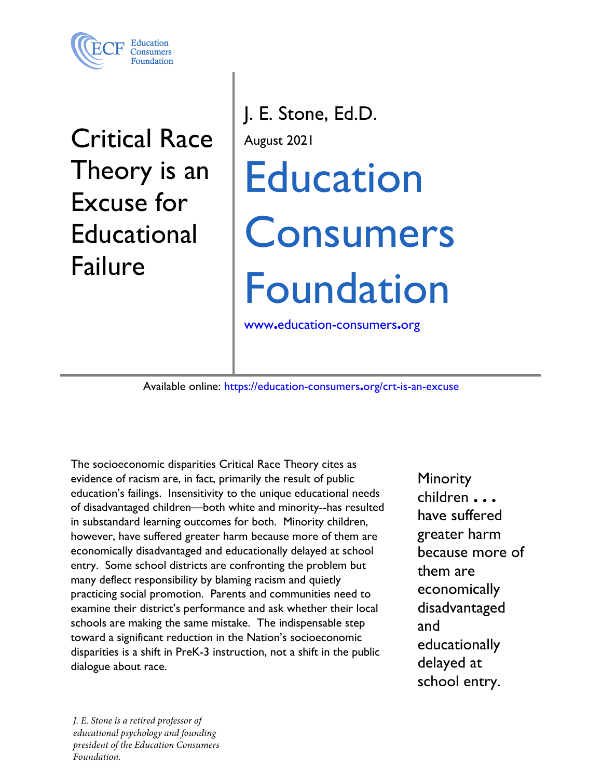

**Critical Race** Theory is an **Excuse for Educational Failure** 

J. E. Stone, Ed.D. August 2021 **Education Consumers Foundation** www.education-consumers.org

Available online: https://education-consumers.org/crt-is-an-excuse

The socioeconomic disparities Critical Race Theory cites as evidence of racism are, in fact, primarily the result of public education's failings. Insensitivity to the unique educational needs of disadvantaged children—both white and minority--has resulted in substandard learning outcomes for both. Minority children, however, have suffered greater harm because more of them are economically disadvantaged and educationally delayed at school entry. Some school districts are confronting the problem but many deflect responsibility by blaming racism and quietly practicing social promotion. Parents and communities need to examine their district's performance and ask whether their local schools are making the same mistake. The indispensable step toward a significant reduction in the Nation's socioeconomic disparities is a shift in PreK-3 instruction, not a shift in the public dialogue about race.

Minority children . . . have suffered greater harm because more of them are economically disadvantaged and educationally delayed at school entry.

J. E. Stone is a retired professor of educational psychology and founding president of the Education Consumers Foundation.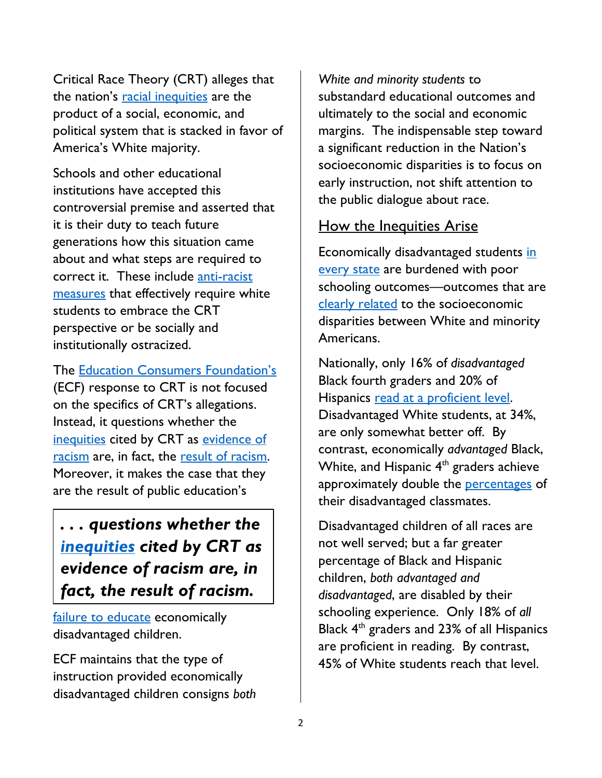Critical Race Theory (CRT) alleges that the nation's [racial inequities](https://inequality.org/facts/racial-inequality/) are the product of a social, economic, and political system that is stacked in favor of America's White majority.

Schools and other educational institutions have accepted this controversial premise and asserted that it is their duty to teach future generations how this situation came about and what steps are required to correct it. These include anti-racist [measures](https://www.learningforjustice.org/magazine/all-students-need-antiracism-education) that effectively require white students to embrace the CRT perspective or be socially and institutionally ostracized.

The [Education Consumers Foundation's](https://education-consumers.org/) (ECF) response to CRT is not focused on the specifics of CRT's allegations. Instead, it questions whether the [inequities](https://inequality.org/facts/racial-inequality/) cited by CRT as [evidence of](https://news.stanford.edu/2019/09/23/new-data-tool-shows-school-poverty-leads-racial-achievement-gap/)  [racism](https://news.stanford.edu/2019/09/23/new-data-tool-shows-school-poverty-leads-racial-achievement-gap/) are, in fact, the [result of racism.](https://www.brookings.edu/blog/brown-center-chalkboard/2020/01/20/the-achievement-gap-in-education-racial-segregation-versus-segregation-by-poverty/) Moreover, it makes the case that they are the result of public education's

*. . . questions whether the [inequities](https://inequality.org/facts/racial-inequality/) cited by CRT as evidence of racism are, in fact, the result of racism.* 

[failure](https://hechingerreport.org/schools-can-overcome-challenges-poverty-right-interventions/) to educate economically disadvantaged children.

ECF maintains that the type of instruction provided economically disadvantaged children consigns *both*

*White and minority students* to substandard educational outcomes and ultimately to the social and economic margins. The indispensable step toward a significant reduction in the Nation's socioeconomic disparities is to focus on early instruction, not shift attention to the public dialogue about race.

#### How the Inequities Arise

Economically disadvantaged students in [every state](https://education-consumers.org/the-tennessee-model/poverty-vs-student-achievement-and-ethnic-composition/) are burdened with poor schooling outcomes—outcomes that are [clearly r](https://www.aecf.org/resources/early-warning-confirmed)elated to the socioeconomic disparities between White and minority Americans.

Nationally, only 16% of *disadvantaged* Black fourth graders and 20% of Hispanics [read at a proficient level.](https://www.nationsreportcard.gov/reading/nation/achievement/?grade=4) Disadvantaged White students, at 34%, are only somewhat better off. By contrast, economically *advantaged* Black, White, and Hispanic  $4<sup>th</sup>$  graders achieve approximately double the **percentages** of their disadvantaged classmates.

Disadvantaged children of all races are not well served; but a far greater percentage of Black and Hispanic children, *both advantaged and disadvantaged*, are disabled by their schooling experience. Only 18% of *all* Black  $4<sup>th</sup>$  graders and 23% of all Hispanics are proficient in reading. By contrast, 45% of White students reach that level.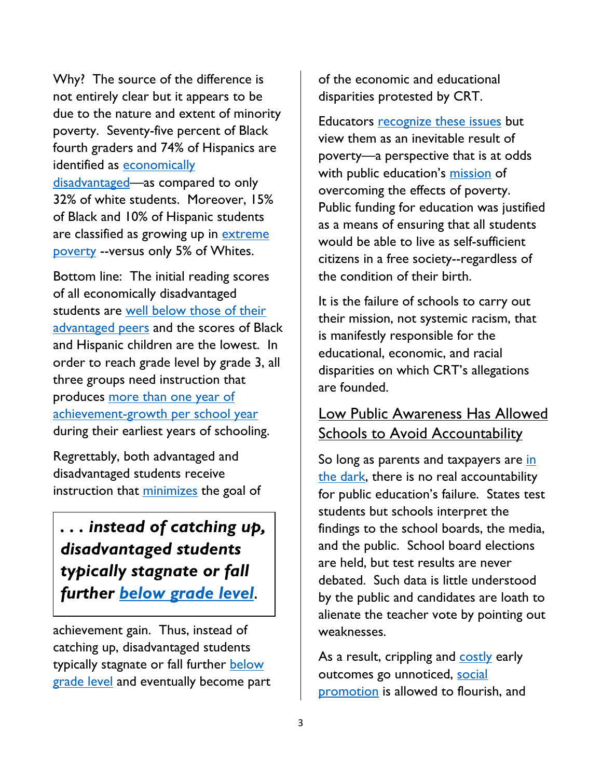Why? The source of the difference is not entirely clear but it appears to be due to the nature and extent of minority poverty. Seventy-five percent of Black fourth graders and 74% of Hispanics are identified as economically [disadvantaged—](https://www.nationsreportcard.gov/ndecore/xplore/NDE)as compared to only 32% of white students. Moreover, 15% of Black and 10% of Hispanic students

are classified as growing up in **extreme** [poverty](https://datacenter.kidscount.org/) --versus only 5% of Whites.

Bottom line: The initial reading scores of all economically disadvantaged students are [well below those of their](https://www.sciencedirect.com/science/article/abs/pii/S019339731730343X) [advantaged](https://www.sciencedirect.com/science/article/abs/pii/S019339731730343X) peers and the scores of Black and Hispanic children are the lowest. In order to reach grade level by grade 3, all three groups need instruction that produces more than one year of [achievement-growth per school year](https://www.emaze.com/@AQTQZCC/Annual-Growth-For-All-Students-Catch-Up-Growth-For-Those-Who-Are-Behind#!) during their earliest years of schooling.

Regrettably, both advantaged and disadvantaged students receive instruction that [minimizes](https://education-consumers.org/misdirected-teaching-failed-reform/) the goal of

# *. . . instead of catching up, disadvantaged students typically stagnate or fall further [below grade level](https://www.epi.org/publication/education-inequalities-at-the-school-starting-gate/)***.**

achievement gain. Thus, instead of catching up, disadvantaged students typically stagnate or fall further **below** [grade level](https://www.epi.org/publication/education-inequalities-at-the-school-starting-gate/) and eventually become part of the economic and educational disparities protested by CRT.

Educators [recognize these issues](https://kappanonline.org/data-children-math-reading-skills-kindergarten-learning-gap-pitts-kuhfeld/) but view them as an inevitable result of poverty—a perspective that is at odds with public education's [mission](https://files.eric.ed.gov/fulltext/ED503799.pdf) of overcoming the effects of poverty. Public funding for education was justified as a means of ensuring that all students would be able to live as self-sufficient citizens in a free society--regardless of the condition of their birth.

It is the failure of schools to carry out their mission, not systemic racism, that is manifestly responsible for the educational, economic, and racial disparities on which CRT's allegations are founded.

### Low Public Awareness Has Allowed **Schools to Avoid Accountability**

So long as parents and taxpayers are in [the dark,](https://education-consumers.org/j-e-stone-americans-know-little-local-school-quality-2/) there is no real accountability for public education's failure. States test students but schools interpret the findings to the school boards, the media, and the public. School board elections are held, but test results are never debated. Such data is little understood by the public and candidates are loath to alienate the teacher vote by pointing out weaknesses.

As a result, crippling and **costly** early outcomes go unnoticed, [social](https://www.publicschoolreview.com/blog/is-social-promotion-crippling-our-childrens-future-the-debate)  [promotion](https://www.publicschoolreview.com/blog/is-social-promotion-crippling-our-childrens-future-the-debate) is allowed to flourish, and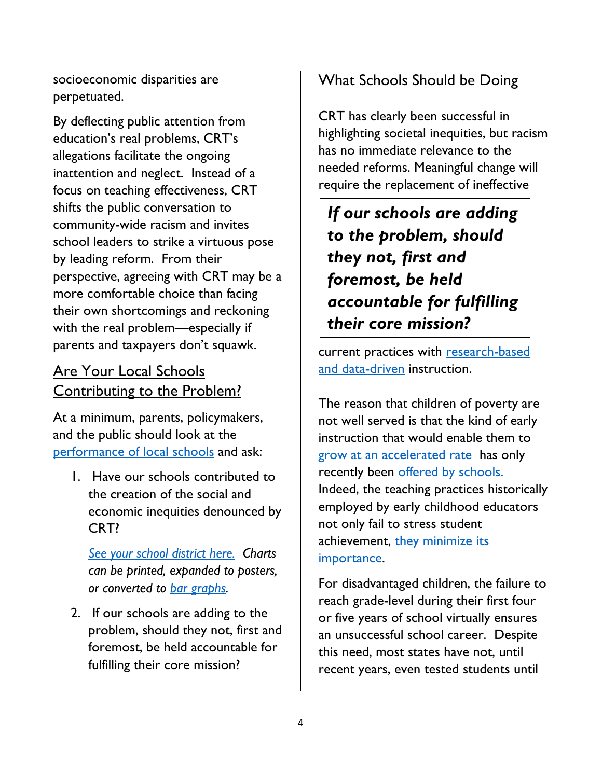socioeconomic disparities are perpetuated.

By deflecting public attention from education's real problems, CRT's allegations facilitate the ongoing inattention and neglect. Instead of a focus on teaching effectiveness, CRT shifts the public conversation to community-wide racism and invites school leaders to strike a virtuous pose by leading reform. From their perspective, agreeing with CRT may be a more comfortable choice than facing their own shortcomings and reckoning with the real problem—especially if parents and taxpayers don't squawk.

#### Are Your Local Schools Contributing to the Problem?

At a minimum, parents, policymakers, and the public should look at the [performance of local schools](https://education-consumers.org/school-performance-nationally/) and ask:

1. Have our schools contributed to the creation of the social and economic inequities denounced by CRT?

*[See your school](https://education-consumers.org/school-performance-nationally/) district here. Charts can be printed, expanded to posters, or converted to [bar graphs](https://education-consumers.org/allTNcharts/Davidson_County_Chart_2019.pdf).* 

2. If our schools are adding to the problem, should they not, first and foremost, be held accountable for fulfilling their core mission?

## What Schools Should be Doing

CRT has clearly been successful in highlighting societal inequities, but racism has no immediate relevance to the needed reforms. Meaningful change will require the replacement of ineffective

*If our schools are adding to the problem, should they not, first and foremost, be held accountable for fulfilling their core mission?* 

current practices with [research-based](https://projectngt.gse.harvard.edu/files/gse-projectngt/files/using_data_to_drive_instruction_data_july_2015.pdf) and [data-driven](https://projectngt.gse.harvard.edu/files/gse-projectngt/files/using_data_to_drive_instruction_data_july_2015.pdf) instruction.

The reason that children of poverty are not well served is that the kind of early instruction that would enable them to [grow at an accelerated rate](https://www.readingrockets.org/blogs/shanahan-literacy/how-much-reading-gain-should-be-expected-reading-interventions) has only recently been [offered by schools.](https://www.branchingminds.com/blog/2019/10/28/what-is-multi-tiered-system-of-supports-mtss) Indeed, the teaching practices historically employed by early childhood educators not only fail to stress student achievement, they minimize its [importance.](https://education-consumers.org/misdirected-teaching-failed-reform/)

For disadvantaged children, the failure to reach grade-level during their first four or five years of school virtually ensures an unsuccessful school career. Despite this need, most states have not, until recent years, even tested students until